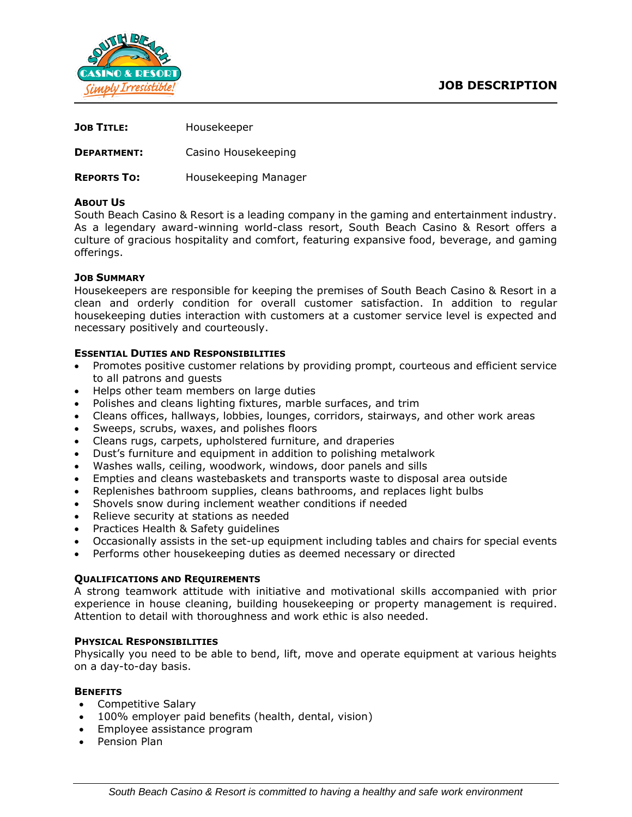



| <b>JOB TITLE:</b> | Housekeeper |
|-------------------|-------------|
|                   |             |

**DEPARTMENT:** Casino Housekeeping

**REPORTS TO:** Housekeeping Manager

## **ABOUT US**

South Beach Casino & Resort is a leading company in the gaming and entertainment industry. As a legendary award-winning world-class resort, South Beach Casino & Resort offers a culture of gracious hospitality and comfort, featuring expansive food, beverage, and gaming offerings.

# **JOB SUMMARY**

Housekeepers are responsible for keeping the premises of South Beach Casino & Resort in a clean and orderly condition for overall customer satisfaction. In addition to regular housekeeping duties interaction with customers at a customer service level is expected and necessary positively and courteously.

# **ESSENTIAL DUTIES AND RESPONSIBILITIES**

- Promotes positive customer relations by providing prompt, courteous and efficient service to all patrons and guests
- Helps other team members on large duties
- Polishes and cleans lighting fixtures, marble surfaces, and trim
- Cleans offices, hallways, lobbies, lounges, corridors, stairways, and other work areas
- Sweeps, scrubs, waxes, and polishes floors
- Cleans rugs, carpets, upholstered furniture, and draperies
- Dust's furniture and equipment in addition to polishing metalwork
- Washes walls, ceiling, woodwork, windows, door panels and sills
- Empties and cleans wastebaskets and transports waste to disposal area outside
- Replenishes bathroom supplies, cleans bathrooms, and replaces light bulbs
- Shovels snow during inclement weather conditions if needed
- Relieve security at stations as needed
- Practices Health & Safety guidelines
- Occasionally assists in the set-up equipment including tables and chairs for special events
- Performs other housekeeping duties as deemed necessary or directed

## **QUALIFICATIONS AND REQUIREMENTS**

A strong teamwork attitude with initiative and motivational skills accompanied with prior experience in house cleaning, building housekeeping or property management is required. Attention to detail with thoroughness and work ethic is also needed.

## **PHYSICAL RESPONSIBILITIES**

Physically you need to be able to bend, lift, move and operate equipment at various heights on a day-to-day basis.

## **BENEFITS**

- Competitive Salary
- 100% employer paid benefits (health, dental, vision)
- Employee assistance program
- Pension Plan